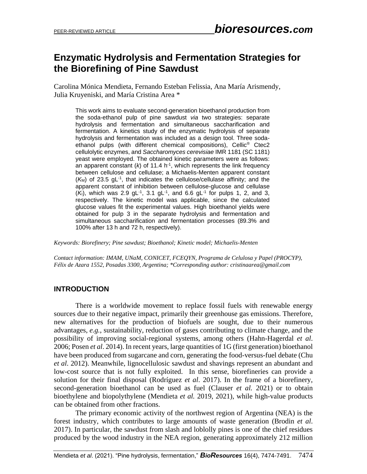# **Enzymatic Hydrolysis and Fermentation Strategies for the Biorefining of Pine Sawdust**

Carolina Mónica Mendieta, Fernando Esteban Felissia, Ana María Arismendy, Julia Kruyeniski, and María Cristina Area \*

This work aims to evaluate second-generation bioethanol production from the soda-ethanol pulp of pine sawdust *via* two strategies: separate hydrolysis and fermentation and simultaneous saccharification and fermentation. A kinetics study of the enzymatic hydrolysis of separate hydrolysis and fermentation was included as a design tool. Three sodaethanol pulps (with different chemical compositions), Cellic® Ctec2 cellulolytic enzymes, and *Saccharomyces cerevisiae* IMR 1181 (SC 1181) yeast were employed. The obtained kinetic parameters were as follows: an apparent constant  $(k)$  of 11.4 h<sup>-1</sup>, which represents the link frequency between cellulose and cellulase; a Michaelis-Menten apparent constant  $(K_M)$  of 23.5 gL<sup>-1</sup>, that indicates the cellulose/cellulase affinity; and the apparent constant of inhibition between cellulose-glucose and cellulase  $(K)$ , which was 2.9 gL<sup>-1</sup>, 3.1 gL<sup>-1</sup>, and 6.6 gL<sup>-1</sup> for pulps 1, 2, and 3, respectively. The kinetic model was applicable, since the calculated glucose values fit the experimental values. High bioethanol yields were obtained for pulp 3 in the separate hydrolysis and fermentation and simultaneous saccharification and fermentation processes (89.3% and 100% after 13 h and 72 h, respectively).

*Keywords: Biorefinery; Pine sawdust; Bioethanol; Kinetic model; Michaelis-Menten*

*Contact information: IMAM, UNaM, CONICET, FCEQYN, Programa de Celulosa y Papel (PROCYP), Félix de Azara 1552, Posadas 3300, Argentina; \*Corresponding author: cristinaarea@gmail.com*

## **INTRODUCTION**

There is a worldwide movement to replace fossil fuels with renewable energy sources due to their negative impact, primarily their greenhouse gas emissions. Therefore, new alternatives for the production of biofuels are sought, due to their numerous advantages, *e.g.*, sustainability, reduction of gases contributing to climate change, and the possibility of improving social-regional systems, among others (Hahn-Hagerdal *et al*. 2006; Posen *et al*. 2014). In recent years, large quantities of 1G (first generation) bioethanol have been produced from sugarcane and corn, generating the food-versus-fuel debate (Chu *et al*. 2012). Meanwhile, lignocellulosic sawdust and shavings represent an abundant and low-cost source that is not fully exploited. In this sense, biorefineries can provide a solution for their final disposal (Rodríguez *et al*. 2017). In the frame of a biorefinery, second-generation bioethanol can be used as fuel (Clauser *et al.* 2021) or to obtain bioethylene and biopolythylene (Mendieta *et al.* 2019, 2021), while high-value products can be obtained from other fractions.

The primary economic activity of the northwest region of Argentina (NEA) is the forest industry, which contributes to large amounts of waste generation (Brodin *et al*. 2017). In particular, the sawdust from slash and loblolly pines is one of the chief residues produced by the wood industry in the NEA region, generating approximately 212 million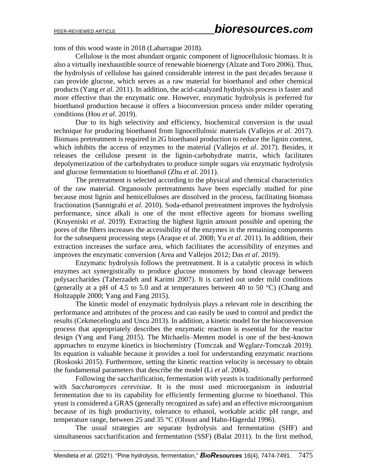tons of this wood waste in 2018 (Laharrague 2018).

Cellulose is the most abundant organic component of lignocellulosic biomass. It is also a virtually inexhaustible source of renewable bioenergy (Alzate and Toro 2006). Thus, the hydrolysis of cellulose has gained considerable interest in the past decades because it can provide glucose, which serves as a raw material for bioethanol and other chemical products (Yang *et al.* 2011). In addition, the acid-catalyzed hydrolysis process is faster and more effective than the enzymatic one. However, enzymatic hydrolysis is preferred for bioethanol production because it offers a bioconversion process under milder operating conditions (Hou *et al*. 2019).

Due to its high selectivity and efficiency, biochemical conversion is the usual technique for producing bioethanol from lignocellulosic materials (Vallejos *et al*. 2017). Biomass pretreatment is required in 2G bioethanol production to reduce the lignin content, which inhibits the access of enzymes to the material (Vallejos *et al*. 2017). Besides, it releases the cellulose present in the lignin-carbohydrate matrix, which facilitates depolymerization of the carbohydrates to produce simple sugars *via* enzymatic hydrolysis and glucose fermentation to bioethanol (Zhu *et al*. 2011).

The pretreatment is selected according to the physical and chemical characteristics of the raw material. Organosolv pretreatments have been especially studied for pine because most lignin and hemicelluloses are dissolved in the process, facilitating biomass fractionation (Sannigrahi *et al*. 2010). Soda-ethanol pretreatment improves the hydrolysis performance, since alkali is one of the most effective agents for biomass swelling (Kruyeniski *et al*. 2019). Extracting the highest lignin amount possible and opening the pores of the fibers increases the accessibility of the enzymes in the remaining components for the subsequent processing steps (Araque *et al*. 2008; Yu *et al*. 2011). In addition, their extraction increases the surface area, which facilitates the accessibility of enzymes and improves the enzymatic conversion (Area and Vallejos 2012; Das *et al*. 2019).

Enzymatic hydrolysis follows the pretreatment. It is a catalytic process in which enzymes act synergistically to produce glucose monomers by bond cleavage between polysaccharides (Taherzadeh and Karimi 2007). It is carried out under mild conditions (generally at a pH of 4.5 to 5.0 and at temperatures between 40 to 50  $^{\circ}$ C) (Chang and Holtzapple 2000; Yang and Fang 2015).

The kinetic model of enzymatic hydrolysis plays a relevant role in describing the performance and attributes of the process and can easily be used to control and predict the results (Cekmecelioglu and Uncu 2013). In addition, a kinetic model for the bioconversion process that appropriately describes the enzymatic reaction is essential for the reactor design (Yang and Fang 2015). The Michaelis–Menten model is one of the best-known approaches to enzyme kinetics in biochemistry (Tomczak and Węglarz-Tomczak 2019). Its equation is valuable because it provides a tool for understanding enzymatic reactions (Roskoski 2015). Furthermore, setting the kinetic reaction velocity is necessary to obtain the fundamental parameters that describe the model (Li *et al*. 2004).

Following the saccharification, fermentation with yeasts is traditionally performed with *Saccharomyces cerevisiae*. It is the most used microorganism in industrial fermentation due to its capability for efficiently fermenting glucose to bioethanol. This yeast is considered a GRAS (generally recognized as safe) and an effective microorganism because of its high productivity, tolerance to ethanol, workable acidic pH range, and temperature range, between 25 and 35 °C (Olsson and Hahn-Hägerdal 1996).

The usual strategies are separate hydrolysis and fermentation (SHF) and simultaneous saccharification and fermentation (SSF) (Balat 2011). In the first method,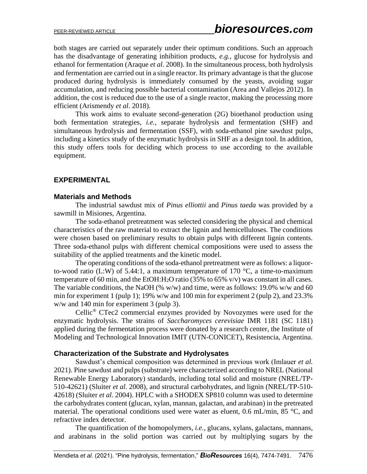both stages are carried out separately under their optimum conditions. Such an approach has the disadvantage of generating inhibition products, *e.g.*, glucose for hydrolysis and ethanol for fermentation (Araque *et al*. 2008). In the simultaneous process, both hydrolysis and fermentation are carried out in a single reactor. Its primary advantage is that the glucose produced during hydrolysis is immediately consumed by the yeasts, avoiding sugar accumulation, and reducing possible bacterial contamination (Area and Vallejos 2012). In addition, the cost is reduced due to the use of a single reactor, making the processing more efficient (Arismendy *et al*. 2018).

This work aims to evaluate second-generation (2G) bioethanol production using both fermentation strategies, *i.e.*, separate hydrolysis and fermentation (SHF) and simultaneous hydrolysis and fermentation (SSF), with soda-ethanol pine sawdust pulps, including a kinetics study of the enzymatic hydrolysis in SHF as a design tool. In addition, this study offers tools for deciding which process to use according to the available equipment.

## **EXPERIMENTAL**

## **Materials and Methods**

The industrial sawdust mix of *Pinus elliottii* and *Pinus taeda* was provided by a sawmill in Misiones, Argentina.

The soda-ethanol pretreatment was selected considering the physical and chemical characteristics of the raw material to extract the lignin and hemicelluloses. The conditions were chosen based on preliminary results to obtain pulps with different lignin contents. Three soda-ethanol pulps with different chemical compositions were used to assess the suitability of the applied treatments and the kinetic model.

The operating conditions of the soda-ethanol pretreatment were as follows: a liquorto-wood ratio (L:W) of 5.44:1, a maximum temperature of 170  $^{\circ}$ C, a time-to-maximum temperature of 60 min, and the EtOH:H<sub>2</sub>O ratio (35% to 65% v/v) was constant in all cases. The variable conditions, the NaOH (% w/w) and time, were as follows: 19.0% w/w and 60 min for experiment 1 (pulp 1); 19% w/w and 100 min for experiment 2 (pulp 2), and 23.3% w/w and 140 min for experiment 3 (pulp 3).

Cellic® CTec2 commercial enzymes provided by Novozymes were used for the enzymatic hydrolysis. The strains of *Saccharomyces cerevisiae* IMR 1181 (SC 1181) applied during the fermentation process were donated by a research center, the Institute of Modeling and Technological Innovation IMIT (UTN-CONICET), Resistencia, Argentina.

### **Characterization of the Substrate and Hydrolysates**

Sawdust's chemical composition was determined in previous work (Imlauer *et al.* 2021). Pine sawdust and pulps (substrate) were characterized according to NREL (National Renewable Energy Laboratory) standards, including total solid and moisture (NREL/TP-510-42621) (Sluiter *et al*. 2008), and structural carbohydrates, and lignin (NREL/TP-510- 42618) (Sluiter *et al*. 2004). HPLC with a SHODEX SP810 column was used to determine the carbohydrates content (glucan, xylan, mannan, galactan, and arabinan) in the pretreated material. The operational conditions used were water as eluent, 0.6 mL/min, 85 °C, and refractive index detector.

The quantification of the homopolymers, *i.e.*, glucans, xylans, galactans, mannans, and arabinans in the solid portion was carried out by multiplying sugars by the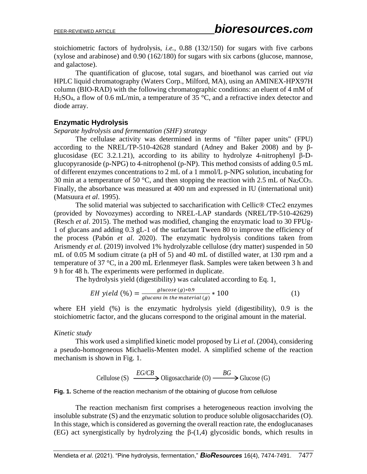stoichiometric factors of hydrolysis, *i.e.*, 0.88 (132/150) for sugars with five carbons (xylose and arabinose) and 0.90 (162/180) for sugars with six carbons (glucose, mannose, and galactose).

The quantification of glucose, total sugars, and bioethanol was carried out *via* HPLC liquid chromatography (Waters Corp., Milford, MA), using an AMINEX-HPX97H column (BIO-RAD) with the following chromatographic conditions: an eluent of 4 mM of H<sub>2</sub>SO<sub>4</sub>, a flow of 0.6 mL/min, a temperature of 35 °C, and a refractive index detector and diode array.

## **Enzymatic Hydrolysis**

#### *Separate hydrolysis and fermentation (SHF) strategy*

The cellulase activity was determined in terms of "filter paper units" (FPU) according to the NREL/TP-510-42628 standard (Adney and Baker 2008) and by βglucosidase (EC 3.2.1.21), according to its ability to hydrolyze 4-nitrophenyl β-Dglucopyranoside (p-NPG) to 4-nitrophenol (p-NP). This method consists of adding 0.5 mL of different enzymes concentrations to 2 mL of a 1 mmol/L p-NPG solution, incubating for 30 min at a temperature of 50 °C, and then stopping the reaction with 2.5 mL of Na<sub>2</sub>CO<sub>3</sub>. Finally, the absorbance was measured at 400 nm and expressed in IU (international unit) (Matsuura *et al*. 1995).

The solid material was subjected to saccharification with Cellic® CTec2 enzymes (provided by Novozymes) according to NREL-LAP standards (NREL/TP-510-42629) (Resch *et al*. 2015). The method was modified, changing the enzymatic load to 30 FPUg-1 of glucans and adding 0.3 gL-1 of the surfactant Tween 80 to improve the efficiency of the process (Pabón *et al*. 2020). The enzymatic hydrolysis conditions taken from Arismendy *et al.* (2019) involved 1% hydrolyzable cellulose (dry matter) suspended in 50 mL of 0.05 M sodium citrate (a pH of 5) and 40 mL of distilled water, at 130 rpm and a temperature of 37 °C, in a 200 mL Erlenmeyer flask. Samples were taken between 3 h and 9 h for 48 h. The experiments were performed in duplicate.

The hydrolysis yield (digestibility) was calculated according to Eq. 1,

$$
EH yield (%) = \frac{glucose (g)*0.9}{glucans in the material (g)} * 100
$$
 (1)

where EH yield (%) is the enzymatic hydrolysis yield (digestibility), 0.9 is the stoichiometric factor, and the glucans correspond to the original amount in the material.

### *Kinetic study*

This work used a simplified kinetic model proposed by Li *et al*. (2004), considering a pseudo-homogeneous Michaelis-Menten model. A simplified scheme of the reaction mechanism is shown in Fig. 1.

Cellulose (S) 
$$
\xrightarrow{EG/CB}
$$
 Oligosaccharide (O)  $\xrightarrow{BG}$  Glucose (G)

**Fig. 1.** Scheme of the reaction mechanism of the obtaining of glucose from cellulose

The reaction mechanism first comprises a heterogeneous reaction involving the insoluble substrate (S) and the enzymatic solution to produce soluble oligosaccharides (O). In this stage, which is considered as governing the overall reaction rate, the endoglucanases Cellulose (S)  $\frac{EG/CB}{\longrightarrow}$  Oligosaccharide (O)  $\frac{BG}{\longrightarrow}$  Glucose (G)<br>Fig. 1. Scheme of the reaction mechanism of the obtaining of glucose from cellulose<br>The reaction mechanism first comprises a heterogeneous reaction inv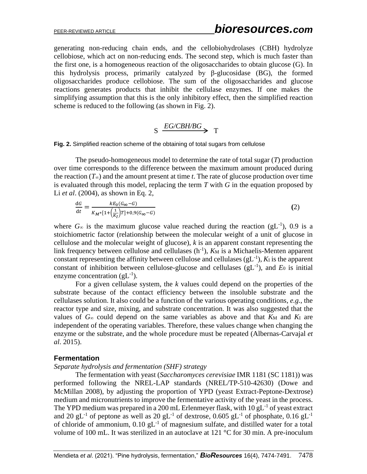generating non-reducing chain ends, and the cellobiohydrolases (CBH) hydrolyze cellobiose, which act on non-reducing ends. The second step, which is much faster than the first one, is a homogeneous reaction of the oligosaccharides to obtain glucose (G). In this hydrolysis process, primarily catalyzed by β-glucosidase (BG), the formed oligosaccharides produce cellobiose. The sum of the oligosaccharides and glucose reactions generates products that inhibit the cellulase enzymes. If one makes the simplifying assumption that this is the only inhibitory effect, then the simplified reaction scheme is reduced to the following (as shown in Fig. 2).

# $S \xrightarrow{EG/CBH/BG} T$

**Fig. 2.** Simplified reaction scheme of the obtaining of total sugars from cellulose

The pseudo-homogeneous model to determine the rate of total sugar (*T*) production over time corresponds to the difference between the maximum amount produced during the reaction  $(T_{\infty})$  and the amount present at time *t*. The rate of glucose production over time is evaluated through this model, replacing the term *T* with *G* in the equation proposed by Li *et al*. (2004), as shown in Eq. 2,

$$
\frac{\mathrm{d}G}{\mathrm{d}t} = \frac{kE_0(G_\infty - G)}{K_M * [1 + \left(\frac{1}{K_I}\right)T] + 0.9(G_\infty - G)}
$$
\n
$$
\tag{2}
$$

where  $G_{\infty}$  is the maximum glucose value reached during the reaction (gL<sup>-1</sup>), 0.9 is a stoichiometric factor (relationship between the molecular weight of a unit of glucose in cellulose and the molecular weight of glucose), *k* is an apparent constant representing the link frequency between cellulose and cellulases  $(h^{-1})$ ,  $K_M$  is a Michaelis-Menten apparent constant representing the affinity between cellulose and cellulases  $(gL^{-1})$ ,  $K_I$  is the apparent constant of inhibition between cellulose-glucose and cellulases  $(gL^{-1})$ , and  $E_0$  is initial enzyme concentration  $(gL^{-1})$ .

For a given cellulase system, the *k* values could depend on the properties of the substrate because of the contact efficiency between the insoluble substrate and the cellulases solution. It also could be a function of the various operating conditions, *e.g.*, the reactor type and size, mixing, and substrate concentration. It was also suggested that the values of  $G_{\infty}$  could depend on the same variables as above and that  $K_M$  and  $K_I$  are independent of the operating variables. Therefore, these values change when changing the enzyme or the substrate, and the whole procedure must be repeated (Albernas-Carvajal *et al*. 2015).

### **Fermentation**

#### *Separate hydrolysis and fermentation (SHF) strategy*

The fermentation with yeast (*Saccharomyces cerevisiae* IMR 1181 (SC 1181)) was performed following the NREL-LAP standards (NREL/TP-510-42630) (Dowe and McMillan 2008), by adjusting the proportion of YPD (yeast Extract-Peptone-Dextrose) medium and micronutrients to improve the fermentative activity of the yeast in the process. The YPD medium was prepared in a 200 mL Erlenmeyer flask, with  $10 \text{ gL}^{-1}$  of yeast extract and 20 gL<sup>-1</sup> of peptone as well as 20 gL<sup>-1</sup> of dextrose, 0.605 gL<sup>-1</sup> of phosphate, 0.16 gL<sup>-1</sup> of chloride of ammonium,  $0.10 \text{ gL}^{-1}$  of magnesium sulfate, and distilled water for a total volume of 100 mL. It was sterilized in an autoclave at 121 °C for 30 min. A pre-inoculum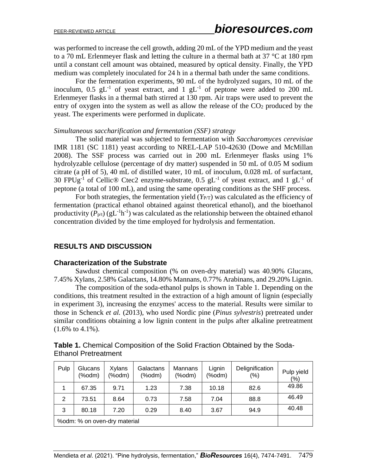was performed to increase the cell growth, adding 20 mL of the YPD medium and the yeast to a 70 mL Erlenmeyer flask and letting the culture in a thermal bath at 37 °C at 180 rpm until a constant cell amount was obtained, measured by optical density. Finally, the YPD medium was completely inoculated for 24 h in a thermal bath under the same conditions.

For the fermentation experiments, 90 mL of the hydrolyzed sugars, 10 mL of the inoculum,  $0.5$  gL<sup>-1</sup> of yeast extract, and  $1$  gL<sup>-1</sup> of peptone were added to 200 mL Erlenmeyer flasks in a thermal bath stirred at 130 rpm. Air traps were used to prevent the entry of oxygen into the system as well as allow the release of the  $CO<sub>2</sub>$  produced by the yeast. The experiments were performed in duplicate.

#### *Simultaneous saccharification and fermentation (SSF) strategy*

The solid material was subjected to fermentation with *Saccharomyces cerevisiae*  IMR 1181 (SC 1181) yeast according to NREL-LAP 510-42630 (Dowe and McMillan 2008). The SSF process was carried out in 200 mL Erlenmeyer flasks using 1% hydrolyzable cellulose (percentage of dry matter) suspended in 50 mL of 0.05 M sodium citrate (a pH of 5), 40 mL of distilled water, 10 mL of inoculum, 0.028 mL of surfactant, 30 FPUg<sup>-1</sup> of Cellic® Ctec2 enzyme-substrate, 0.5 gL<sup>-1</sup> of yeast extract, and 1 gL<sup>-1</sup> of peptone (a total of 100 mL), and using the same operating conditions as the SHF process.

For both strategies, the fermentation yield  $(Y_{PT})$  was calculated as the efficiency of fermentation (practical ethanol obtained against theoretical ethanol), and the bioethanol productivity  $(P_{p/t})$  (gL<sup>-1</sup>h<sup>-1</sup>) was calculated as the relationship between the obtained ethanol concentration divided by the time employed for hydrolysis and fermentation.

## **RESULTS AND DISCUSSION**

### **Characterization of the Substrate**

Sawdust chemical composition (% on oven-dry material) was 40.90% Glucans, 7.45% Xylans, 2.58% Galactans, 14.80% Mannans, 0.77% Arabinans, and 29.20% Lignin.

The composition of the soda-ethanol pulps is shown in Table 1. Depending on the conditions, this treatment resulted in the extraction of a high amount of lignin (especially in experiment 3), increasing the enzymes' access to the material. Results were similar to those in Schenck *et al.* (2013), who used Nordic pine (*Pinus sylvestris*) pretreated under similar conditions obtaining a low lignin content in the pulps after alkaline pretreatment (1.6% to 4.1%).

| Pulp                         | Glucans<br>(%odm) | <b>Xylans</b><br>(%odm) | Galactans<br>$(% \mathcal{L}_{0})$ (%odm) | Mannans<br>$(% \mathcal{L}_{0})$ | Lignin<br>(%odm) | Delignification<br>$(\% )$ | Pulp yield<br>$(\% )$ |
|------------------------------|-------------------|-------------------------|-------------------------------------------|----------------------------------|------------------|----------------------------|-----------------------|
|                              | 67.35             | 9.71                    | 1.23                                      | 7.38                             | 10.18            | 82.6                       | 49.86                 |
| 2                            | 73.51             | 8.64                    | 0.73                                      | 7.58                             | 7.04             | 88.8                       | 46.49                 |
| 3                            | 80.18             | 7.20                    | 0.29                                      | 8.40                             | 3.67             | 94.9                       | 40.48                 |
| %odm: % on oven-dry material |                   |                         |                                           |                                  |                  |                            |                       |

**Table 1.** Chemical Composition of the Solid Fraction Obtained by the Soda-Ethanol Pretreatment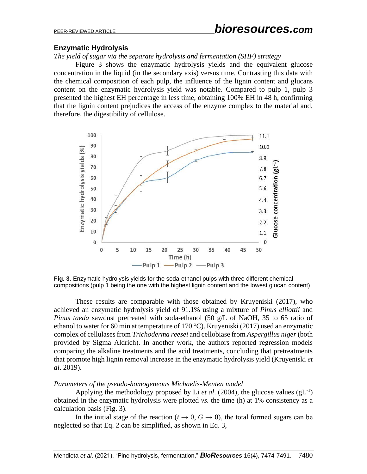## **Enzymatic Hydrolysis**

*The yield of sugar via the separate hydrolysis and fermentation (SHF) strategy*

Figure 3 shows the enzymatic hydrolysis yields and the equivalent glucose concentration in the liquid (in the secondary axis) versus time. Contrasting this data with the chemical composition of each pulp, the influence of the lignin content and glucans content on the enzymatic hydrolysis yield was notable. Compared to pulp 1, pulp 3 presented the highest EH percentage in less time, obtaining 100% EH in 48 h, confirming that the lignin content prejudices the access of the enzyme complex to the material and, therefore, the digestibility of cellulose.



**Fig. 3.** Enzymatic hydrolysis yields for the soda-ethanol pulps with three different chemical compositions (pulp 1 being the one with the highest lignin content and the lowest glucan content)

These results are comparable with those obtained by Kruyeniski (2017), who achieved an enzymatic hydrolysis yield of 91.1% using a mixture of *Pinus elliottii* and *Pinus taeda* sawdust pretreated with soda-ethanol (50 g/L of NaOH, 35 to 65 ratio of ethanol to water for 60 min at temperature of 170 °C). Kruyeniski (2017) used an enzymatic complex of cellulases from *Trichoderma reesei* and cellobiase from *Aspergillus niger*(both provided by Sigma Aldrich). In another work, the authors reported regression models comparing the alkaline treatments and the acid treatments, concluding that pretreatments that promote high lignin removal increase in the enzymatic hydrolysis yield (Kruyeniski *et al*. 2019).

### *Parameters of the pseudo-homogeneous Michaelis-Menten model*

Applying the methodology proposed by Li *et al.* (2004), the glucose values  $(gL^{-1})$ obtained in the enzymatic hydrolysis were plotted *vs.* the time (h) at 1% consistency as a calculation basis (Fig. 3).

In the initial stage of the reaction ( $t \to 0$ ,  $G \to 0$ ), the total formed sugars can be neglected so that Eq. 2 can be simplified, as shown in Eq. 3,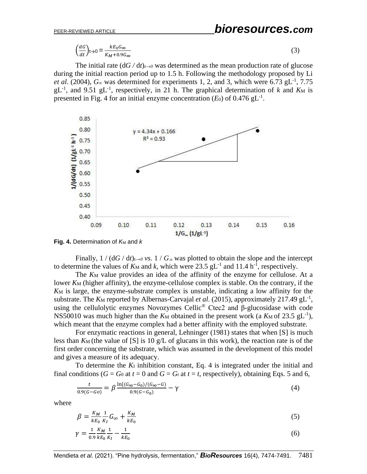$$
\left(\frac{dG}{dt}\right)t \to 0 = \frac{kE_0 G_{\infty}}{K_M + 0.9G_{\infty}}\tag{3}
$$

The initial rate  $(dG/dt)_{t\to 0}$  was determined as the mean production rate of glucose during the initial reaction period up to 1.5 h. Following the methodology proposed by Li *et al.* (2004),  $G_{\infty}$  was determined for experiments 1, 2, and 3, which were 6.73  $gL^{-1}$ , 7.75  $gL^{-1}$ , and 9.51  $gL^{-1}$ , respectively, in 21 h. The graphical determination of *k* and *K*M is presented in Fig. 4 for an initial enzyme concentration  $(E_0)$  of 0.476 gL<sup>-1</sup>.



**Fig. 4.** Determination of  $K_M$  and  $K$ 

Finally,  $1 / (dG/dt)_{t\to 0}$  *vs.*  $1 / G_{\infty}$  was plotted to obtain the slope and the intercept to determine the values of  $K_M$  and k, which were 23.5 gL<sup>-1</sup> and 11.4 h<sup>-1</sup>, respectively.

The  $K_M$  value provides an idea of the affinity of the enzyme for cellulose. At a lower *K*M (higher affinity), the enzyme-cellulose complex is stable. On the contrary, if the *K*<sup>M</sup> is large, the enzyme-substrate complex is unstable, indicating a low affinity for the substrate. The  $K_M$  reported by Albernas-Carvajal *et al.* (2015), approximately 217.49  $gL^{-1}$ , using the cellulolytic enzymes Novozymes Cellic<sup>®</sup> Ctec2 and  $\beta$ -glucosidase with code NS50010 was much higher than the  $K_M$  obtained in the present work (a  $K_M$  of 23.5 gL<sup>-1</sup>), which meant that the enzyme complex had a better affinity with the employed substrate.

For enzymatic reactions in general, Lehninger (1981) states that when [S] is much less than  $K_M$  (the value of [S] is 10 g/L of glucans in this work), the reaction rate is of the first order concerning the substrate, which was assumed in the development of this model and gives a measure of its adequacy.

To determine the *K*<sup>I</sup> inhibition constant, Eq. 4 is integrated under the initial and final conditions ( $G = G_0$  at  $t = 0$  and  $G = G_t$  at  $t = t$ , respectively), obtaining Eqs. 5 and 6,

$$
\frac{t}{0.9(G - Go)} = \beta \frac{\ln[(G_{\infty} - G_0)/(G_{\infty} - G)}{0.9(G - G_0)} - \gamma \tag{4}
$$

where

$$
\beta = \frac{K_M}{k E_0} \frac{1}{K_I} G_{\infty} + \frac{K_M}{k E_0} \tag{5}
$$

$$
\gamma = \frac{1}{0.9} \frac{K_M}{k E_0} \frac{1}{K_I} - \frac{1}{k E_0} \tag{6}
$$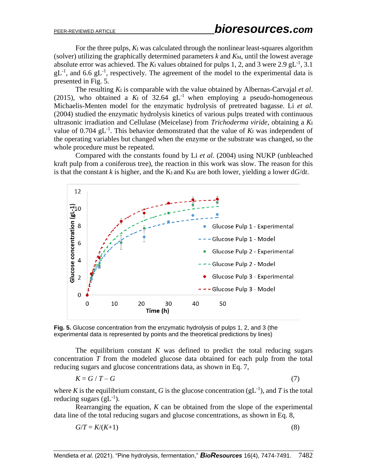For the three pulps, *K*<sup>I</sup> was calculated through the nonlinear least-squares algorithm (solver) utilizing the graphically determined parameters  $k$  and  $K_M$ , until the lowest average absolute error was achieved. The  $K_I$  values obtained for pulps 1, 2, and 3 were 2.9 gL<sup>-1</sup>, 3.1  $gL^{-1}$ , and 6.6  $gL^{-1}$ , respectively. The agreement of the model to the experimental data is presented in Fig. 5.

The resulting *K*<sup>I</sup> is comparable with the value obtained by Albernas-Carvajal *et al*. (2015), who obtained a  $K<sub>I</sub>$  of 32.64  $gL<sup>-1</sup>$  when employing a pseudo-homogeneous Michaelis-Menten model for the enzymatic hydrolysis of pretreated bagasse. Li *et al.*  (2004) studied the enzymatic hydrolysis kinetics of various pulps treated with continuous ultrasonic irradiation and Cellulase (Meicelase) from *Trichoderma viride,* obtaining a *K*<sup>I</sup> value of  $0.704$   $gL^{-1}$ . This behavior demonstrated that the value of  $K<sub>I</sub>$  was independent of the operating variables but changed when the enzyme or the substrate was changed, so the whole procedure must be repeated.

Compared with the constants found by Li *et al.* (2004) using NUKP (unbleached kraft pulp from a coniferous tree), the reaction in this work was slow. The reason for this is that the constant *k* is higher, and the  $K_l$  and  $K_M$  are both lower, yielding a lower  $dG/dt$ .



**Fig. 5.** Glucose concentration from the enzymatic hydrolysis of pulps 1, 2, and 3 (the experimental data is represented by points and the theoretical predictions by lines)

The equilibrium constant *K* was defined to predict the total reducing sugars concentration *T* from the modeled glucose data obtained for each pulp from the total reducing sugars and glucose concentrations data, as shown in Eq. 7,

$$
K = G / T - G \tag{7}
$$

where *K* is the equilibrium constant, *G* is the glucose concentration  $(gL^{-1})$ , and *T* is the total reducing sugars  $(gL^{-1})$ .

Rearranging the equation, *K* can be obtained from the slope of the experimental data line of the total reducing sugars and glucose concentrations, as shown in Eq. 8,

$$
G/T = K/(K+1) \tag{8}
$$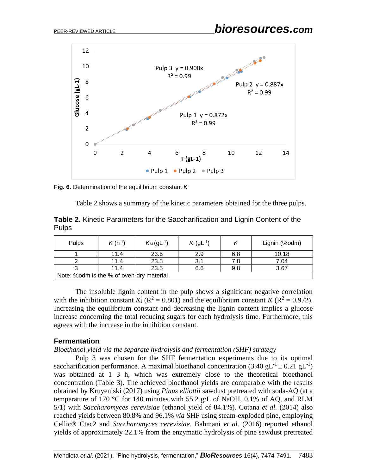

**Fig. 6.** Determination of the equilibrium constant *K*



**Table 2.** Kinetic Parameters for the Saccharification and Lignin Content of the Pulps

| Pulps                                    | $K(h^{-1})$ | $K_M$ (gL <sup>-1</sup> ) | $K_1(gL^{-1})$ |     | Lignin (%odm) |  |  |
|------------------------------------------|-------------|---------------------------|----------------|-----|---------------|--|--|
|                                          | 11.4        | 23.5                      | 2.9            | 6.8 | 10.18         |  |  |
|                                          | 11.4        | 23.5                      | 3.1            | 7.8 | 7.04          |  |  |
|                                          | 11.4        | 23.5                      | 6.6            | 9.8 | 3.67          |  |  |
| Note: %odm is the % of oven-dry material |             |                           |                |     |               |  |  |

The insoluble lignin content in the pulp shows a significant negative correlation with the inhibition constant  $K_I$  ( $R^2 = 0.801$ ) and the equilibrium constant  $K$  ( $R^2 = 0.972$ ). Increasing the equilibrium constant and decreasing the lignin content implies a glucose increase concerning the total reducing sugars for each hydrolysis time. Furthermore, this agrees with the increase in the inhibition constant.

### **Fermentation**

*Bioethanol yield via the separate hydrolysis and fermentation (SHF) strategy*

Pulp 3 was chosen for the SHF fermentation experiments due to its optimal saccharification performance. A maximal bioethanol concentration  $(3.40 \text{ gL}^{-1} \pm 0.21 \text{ gL}^{-1})$ was obtained at 1 3 h, which was extremely close to the theoretical bioethanol concentration (Table 3). The achieved bioethanol yields are comparable with the results obtained by Kruyeniski (2017) using *Pinus elliottii* sawdust pretreated with soda-AQ (at a temperature of 170 °C for 140 minutes with 55.2 g/L of NaOH, 0.1% of AQ, and RLM 5/1) with *Saccharomyces cerevisiae* (ethanol yield of 84.1%). Cotana *et al.* (2014) also reached yields between 80.8% and 96.1% *via* SHF using steam-exploded pine, employing Cellic® Ctec2 and *Saccharomyces cerevisiae*. Bahmani *et al.* (2016) reported ethanol yields of approximately 22.1% from the enzymatic hydrolysis of pine sawdust pretreated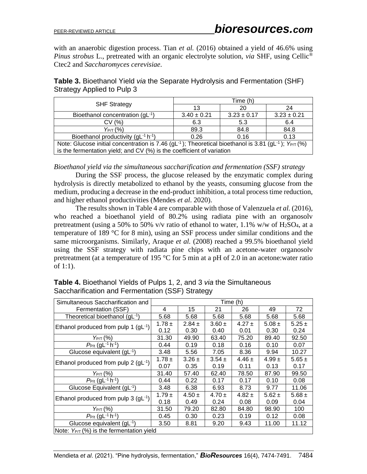with an anaerobic digestion process. Tian *et al.* (2016) obtained a yield of 46.6% using *Pinus strobus* L., pretreated with an organic electrolyte solution, *via* SHF, using Cellic® Ctec2 and *Saccharomyces cerevisiae*.

| <b>Table 3.</b> Bioethanol Yield <i>via</i> the Separate Hydrolysis and Fermentation (SHF) |  |
|--------------------------------------------------------------------------------------------|--|
| Strategy Applied to Pulp 3                                                                 |  |

| <b>SHF Strategy</b>                                                                                                               | Time (h)        |                 |                 |  |  |  |
|-----------------------------------------------------------------------------------------------------------------------------------|-----------------|-----------------|-----------------|--|--|--|
|                                                                                                                                   | 13              | 20              | 24              |  |  |  |
| Bioethanol concentration (gL-1)                                                                                                   | $3.40 \pm 0.21$ | $3.23 \pm 0.17$ | $3.23 \pm 0.21$ |  |  |  |
| CV(%)                                                                                                                             | 6.3             | 5.3             | 6.4             |  |  |  |
| $Y_{P/T}$ (%)                                                                                                                     | 89.3            | 84.8            | 84.8            |  |  |  |
| Bioethanol productivity (gL-1 h-1)                                                                                                | 0.26            | 0.16            | 0.13            |  |  |  |
| Note: Glucose initial concentration is 7.46 (gL <sup>-1</sup> ); Theoretical bioethanol is 3.81 (gL <sup>-1</sup> ); $Y_{PT}(% )$ |                 |                 |                 |  |  |  |
| is the fermentation yield; and CV (%) is the coefficient of variation                                                             |                 |                 |                 |  |  |  |

### *Bioethanol yield via the simultaneous saccharification and fermentation (SSF) strategy*

During the SSF process, the glucose released by the enzymatic complex during hydrolysis is directly metabolized to ethanol by the yeasts, consuming glucose from the medium, producing a decrease in the end-product inhibition, a total process time reduction, and higher ethanol productivities (Mendes *et al*. 2020).

The results shown in Table 4 are comparable with those of Valenzuela *et al.* (2016), who reached a bioethanol yield of 80.2% using radiata pine with an organosolv pretreatment (using a 50% to 50% v/v ratio of ethanol to water,  $1.1\%$  w/w of H<sub>2</sub>SO<sub>4</sub>, at a temperature of 189 °C for 8 min), using an SSF process under similar conditions and the same microorganisms. Similarly, Araque *et al.* (2008) reached a 99.5% bioethanol yield using the SSF strategy with radiata pine chips with an acetone-water organosolv pretreatment (at a temperature of 195  $\degree$ C for 5 min at a pH of 2.0 in an acetone: water ratio of 1:1).

| Simultaneous Saccharification and                  | Time (h)   |            |            |            |            |            |  |
|----------------------------------------------------|------------|------------|------------|------------|------------|------------|--|
| Fermentation (SSF)                                 | 4          | 15         | 21         | 26         | 49         | 72         |  |
| Theoretical bioethanol (gL-1)                      | 5.68       | 5.68       | 5.68       | 5.68       | 5.68       | 5.68       |  |
| Ethanol produced from pulp 1 (gL-1)                | $1.78 \pm$ | $2.84 \pm$ | $3.60 \pm$ | $4.27 \pm$ | $5.08 \pm$ | $5.25 \pm$ |  |
|                                                    | 0.12       | 0.30       | 0.40       | 0.01       | 0.30       | 0.24       |  |
| $Y_{P/T}$ (%)                                      | 31.30      | 49.90      | 63.40      | 75.20      | 89.40      | 92.50      |  |
| $P_{P/t}$ (gL <sup>-1</sup> h <sup>-1</sup> )      | 0.44       | 0.19       | 0.18       | 0.16       | 0.10       | 0.07       |  |
| Glucose equivalent (gL-1)                          | 3.48       | 5.56       | 7.05       | 8.36       | 9.94       | 10.27      |  |
| Ethanol produced from pulp 2 $(gL^{-1})$           | 1.78 $\pm$ | $3.26 \pm$ | $3.54 \pm$ | $4.46 \pm$ | $4.99 \pm$ | $5.65 \pm$ |  |
|                                                    | 0.07       | 0.35       | 0.19       | 0.11       | 0.13       | 0.17       |  |
| $Y_{P/T}$ (%)                                      | 31.40      | 57.40      | 62.40      | 78.50      | 87.90      | 99.50      |  |
| $P_{P/t}$ (gL <sup>-1</sup> h <sup>-1</sup> )      | 0.44       | 0.22       | 0.17       | 0.17       | 0.10       | 0.08       |  |
| Glucose Equivalent $(gL^{-1})$                     | 3.48       | 6.38       | 6.93       | 8.73       | 9.77       | 11.06      |  |
| Ethanol produced from pulp $3$ (gL <sup>-1</sup> ) | $1.79 \pm$ | $4.50 \pm$ | $4.70 \pm$ | $4.82 \pm$ | $5.62 \pm$ | $5.68 \pm$ |  |
|                                                    | 0.18       | 0.49       | 0.24       | 0.08       | 0.09       | 0.04       |  |
| Үрд (%)                                            | 31.50      | 79.20      | 82.80      | 84.80      | 98.90      | 100        |  |
| $P_{P/t}$ (gL <sup>-1</sup> h <sup>-1</sup> )      | 0.45       | 0.30       | 0.23       | 0.19       | 0.12       | 0.08       |  |
| Glucose equivalent $(gL^{-1})$                     | 3.50       | 8.81       | 9.20       | 9.43       | 11.00      | 11.12      |  |
| Note: $Y_{PT}$ (%) is the fermentation yield       |            |            |            |            |            |            |  |

## **Table 4.** Bioethanol Yields of Pulps 1, 2, and 3 *via* the Simultaneous Saccharification and Fermentation (SSF) Strategy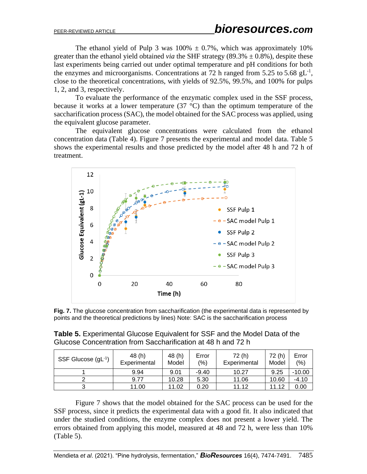The ethanol yield of Pulp 3 was  $100\% \pm 0.7\%$ , which was approximately 10% greater than the ethanol yield obtained *via* the SHF strategy (89.3%  $\pm$  0.8%), despite these last experiments being carried out under optimal temperature and pH conditions for both the enzymes and microorganisms. Concentrations at 72 h ranged from 5.25 to 5.68  $gL^{-1}$ , close to the theoretical concentrations, with yields of 92.5%, 99.5%, and 100% for pulps 1, 2, and 3, respectively.

To evaluate the performance of the enzymatic complex used in the SSF process, because it works at a lower temperature  $(37 \text{ °C})$  than the optimum temperature of the saccharification process (SAC), the model obtained for the SAC process was applied, using the equivalent glucose parameter.

The equivalent glucose concentrations were calculated from the ethanol concentration data (Table 4). Figure 7 presents the experimental and model data. Table 5 shows the experimental results and those predicted by the model after 48 h and 72 h of treatment.



**Fig. 7.** The glucose concentration from saccharification (the experimental data is represented by points and the theoretical predictions by lines) Note: SAC is the saccharification process

| <b>Table 5.</b> Experimental Glucose Equivalent for SSF and the Model Data of the |
|-----------------------------------------------------------------------------------|
| Glucose Concentration from Saccharification at 48 h and 72 h                      |

| SSF Glucose (gL <sup>-1</sup> ) | 48 (h)<br>Experimental | 48 (h)<br>Model | Error<br>(%) | 72 (h)<br>Experimental | 72 (h)<br>Model | Error<br>$(\% )$ |
|---------------------------------|------------------------|-----------------|--------------|------------------------|-----------------|------------------|
|                                 | 9.94                   | 9.01            | $-9.40$      | 10.27                  | 9.25            | $-10.00$         |
|                                 | 9.77                   | 10.28           | 5.30         | 11.06                  | 10.60           | -4.10            |
| ົ<br>J                          | 11.00                  | 11.02           | 0.20         | 11.12                  | 11.12           | 0.00             |

Figure 7 shows that the model obtained for the SAC process can be used for the SSF process, since it predicts the experimental data with a good fit. It also indicated that under the studied conditions, the enzyme complex does not present a lower yield. The errors obtained from applying this model, measured at 48 and 72 h, were less than 10% (Table 5).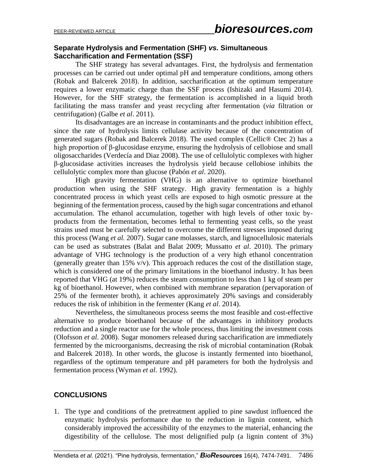## **Separate Hydrolysis and Fermentation (SHF)** *vs.* **Simultaneous Saccharification and Fermentation (SSF)**

The SHF strategy has several advantages. First, the hydrolysis and fermentation processes can be carried out under optimal pH and temperature conditions, among others (Robak and Balcerek 2018). In addition, saccharification at the optimum temperature requires a lower enzymatic charge than the SSF process (Ishizaki and Hasumi 2014). However, for the SHF strategy, the fermentation is accomplished in a liquid broth facilitating the mass transfer and yeast recycling after fermentation (*via* filtration or centrifugation) (Galbe *et al*. 2011).

Its disadvantages are an increase in contaminants and the product inhibition effect, since the rate of hydrolysis limits cellulase activity because of the concentration of generated sugars (Robak and Balcerek 2018). The used complex (Cellic® Ctec 2) has a high proportion of β-glucosidase enzyme, ensuring the hydrolysis of cellobiose and small oligosaccharides (Verdecía and Diaz 2008). The use of cellulolytic complexes with higher β-glucosidase activities increases the hydrolysis yield because cellobiose inhibits the cellulolytic complex more than glucose (Pabón *et al*. 2020).

High gravity fermentation (VHG) is an alternative to optimize bioethanol production when using the SHF strategy. High gravity fermentation is a highly concentrated process in which yeast cells are exposed to high osmotic pressure at the beginning of the fermentation process, caused by the high sugar concentrations and ethanol accumulation. The ethanol accumulation, together with high levels of other toxic byproducts from the fermentation, becomes lethal to fermenting yeast cells, so the yeast strains used must be carefully selected to overcome the different stresses imposed during this process (Wang *et al.* 2007). Sugar cane molasses, starch, and lignocellulosic materials can be used as substrates (Balat and Balat 2009; Mussatto *et al*. 2010). The primary advantage of VHG technology is the production of a very high ethanol concentration (generally greater than 15%  $v/v$ ). This approach reduces the cost of the distillation stage, which is considered one of the primary limitations in the bioethanol industry. It has been reported that VHG (at 19%) reduces the steam consumption to less than 1 kg of steam per kg of bioethanol. However, when combined with membrane separation (pervaporation of 25% of the fermenter broth), it achieves approximately 20% savings and considerably reduces the risk of inhibition in the fermenter (Kang *et al*. 2014).

Nevertheless, the simultaneous process seems the most feasible and cost-effective alternative to produce bioethanol because of the advantages in inhibitory products reduction and a single reactor use for the whole process, thus limiting the investment costs (Olofsson *et al*. 2008). Sugar monomers released during saccharification are immediately fermented by the microorganisms, decreasing the risk of microbial contamination (Robak and Balcerek 2018). In other words, the glucose is instantly fermented into bioethanol, regardless of the optimum temperature and pH parameters for both the hydrolysis and fermentation process (Wyman *et al*. 1992).

## **CONCLUSIONS**

1. The type and conditions of the pretreatment applied to pine sawdust influenced the enzymatic hydrolysis performance due to the reduction in lignin content, which considerably improved the accessibility of the enzymes to the material, enhancing the digestibility of the cellulose. The most delignified pulp (a lignin content of 3%)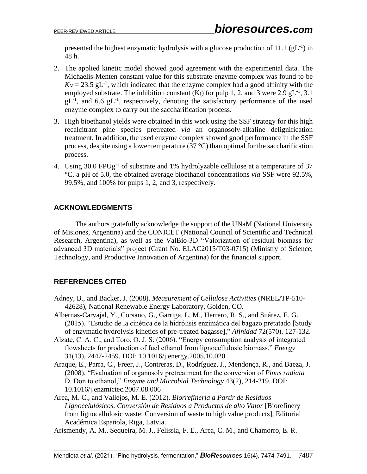presented the highest enzymatic hydrolysis with a glucose production of 11.1  $(gL^{-1})$  in 48 h.

- 2. The applied kinetic model showed good agreement with the experimental data. The Michaelis-Menten constant value for this substrate-enzyme complex was found to be  $K_M = 23.5$  gL<sup>-1</sup>, which indicated that the enzyme complex had a good affinity with the employed substrate. The inhibition constant  $(K_I)$  for pulp 1, 2, and 3 were 2.9 gL<sup>-1</sup>, 3.1  $gL^{-1}$ , and 6.6  $gL^{-1}$ , respectively, denoting the satisfactory performance of the used enzyme complex to carry out the saccharification process.
- 3. High bioethanol yields were obtained in this work using the SSF strategy for this high recalcitrant pine species pretreated *via* an organosolv-alkaline delignification treatment. In addition, the used enzyme complex showed good performance in the SSF process, despite using a lower temperature  $(37 \degree C)$  than optimal for the saccharification process.
- 4. Using 30.0 FPUg<sup>-1</sup> of substrate and 1% hydrolyzable cellulose at a temperature of 37 °C, a pH of 5.0, the obtained average bioethanol concentrations *via* SSF were 92.5%, 99.5%, and 100% for pulps 1, 2, and 3, respectively.

## **ACKNOWLEDGMENTS**

The authors gratefully acknowledge the support of the UNaM (National University of Misiones, Argentina) and the CONICET (National Council of Scientific and Technical Research, Argentina), as well as the ValBio-3D "Valorization of residual biomass for advanced 3D materials" project (Grant No. ELAC2015/T03-0715) (Ministry of Science, Technology, and Productive Innovation of Argentina) for the financial support.

## **REFERENCES CITED**

- Adney, B., and Backer, J. (2008). *Measurement of Cellulose Activities* (NREL/TP-510- 42628), National Renewable Energy Laboratory, Golden, CO.
- Albernas-Carvajal, Y., Corsano, G., Garriga, L. M., Herrero, R. S., and Suárez, E. G. (2015). "Estudio de la cinética de la hidrólisis enzimática del bagazo pretatado [Study of enzymatic hydrolysis kinetics of pre-treated bagasse]," *Afinidad* 72(570), 127-132.
- Alzate, C. A. C., and Toro, O. J. S. (2006). "Energy consumption analysis of integrated flowsheets for production of fuel ethanol from lignocellulosic biomass," *Energy* 31(13), 2447-2459. DOI: 10.1016/j.energy.2005.10.020
- Araque, E., Parra, C., Freer, J., Contreras, D., Rodríguez, J., Mendonça, R., and Baeza, J. (2008). "Evaluation of organosolv pretreatment for the conversion of *Pinus radiata* D. Don to ethanol," *Enzyme and Microbial Technology* 43(2), 214-219. DOI: 10.1016/j.enzmictec.2007.08.006

Area, M. C., and Vallejos, M. E. (2012). *Biorrefinería a Partir de Residuos Lignocelulósicos. Conversión de Residuos a Productos de alto Valor* [Biorefinery from lignocellulosic waste: Conversion of waste to high value products], Editorial Académica Española, Riga, Latvia.

Arismendy, A. M., Sequeira, M. J., Felissia, F. E., Area, C. M., and Chamorro, E. R.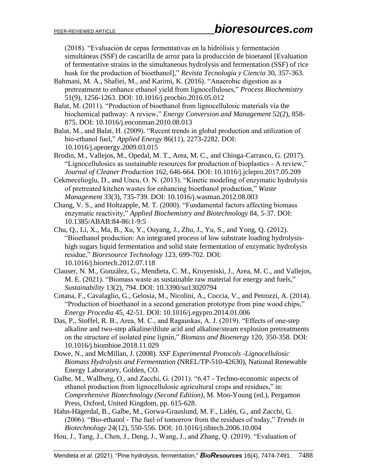(2018). "Evaluación de cepas fermentativas en la hidrólisis y fermentación simultáneas (SSF) de cascarilla de arroz para la producción de bioetanol [Evaluation of fermentative strains in the simultaneous hydrolysis and fermentation (SSF) of rice husk for the production of bioethanol]," *Revista Tecnología y Ciencia* 30, 357-363.

- Bahmani, M. A., Shafiei, M., and Karimi, K. (2016). "Anaerobic digestion as a pretreatment to enhance ethanol yield from lignocelluloses," *Process Biochemistry* 51(9), 1256-1263. DOI: 10.1016/j.procbio.2016.05.012
- Balat, M. (2011). "Production of bioethanol from lignocellulosic materials via the biochemical pathway: A review," *Energy Conversion and Management* 52(2), 858- 875. DOI: 10.1016/j.enconman.2010.08.013
- Balat, M., and Balat, H. (2009). "Recent trends in global production and utilization of bio-ethanol fuel," *Applied Energy* 86(11), 2273-2282. DOI: 10.1016/j.apenergy.2009.03.015
- Brodin, M., Vallejos, M., Opedal, M. T., Area, M. C., and Chinga-Carrasco, G. (2017). "Lignocellulosics as sustainable resources for production of bioplastics - A review," *Journal of Cleaner Production* 162, 646-664. DOI: 10.1016/j.jclepro.2017.05.209
- Cekmecelioglu, D., and Uncu, O. N. (2013). "Kinetic modeling of enzymatic hydrolysis of pretreated kitchen wastes for enhancing bioethanol production," *Waste Management* 33(3), 735-739. DOI: 10.1016/j.wasman.2012.08.003
- Chang, V. S., and Holtzapple, M. T. (2000). "Fundamental factors affecting biomass enzymatic reactivity," *Applied Biochemistry and Biotechnology* 84, 5-37. DOI: 10.1385/ABAB:84-86:1-9:5
- Chu, Q., Li, X., Ma, B., Xu, Y., Ouyang, J., Zhu, J., Yu, S., and Yong, Q. (2012). "Bioethanol production: An integrated process of low substrate loading hydrolysishigh sugars liquid fermentation and solid state fermentation of enzymatic hydrolysis residue," *Bioresource Technology* 123, 699-702. DOI: 10.1016/j.biortech.2012.07.118
- Clauser, N. M., González, G., Mendieta, C. M., Kruyeniski, J., Area, M. C., and Vallejos, M. E. (2021). "Biomass waste as sustainable raw material for energy and fuels," *Sustainability* 13(2), 794. DOI: 10.3390/su13020794
- Cotana, F., Cavalaglio, G., Gelosia, M., Nicolini, A., Coccia, V., and Petrozzi, A. (2014). "Production of bioethanol in a second generation prototype from pine wood chips," *Energy Procedia* 45, 42-51. DOI: 10.1016/j.egypro.2014.01.006
- Das, P., Stoffel, R. B., Area, M. C., and Ragauskas, A. J. (2019). "Effects of one-step alkaline and two-step alkaline/dilute acid and alkaline/steam explosion pretreatments on the structure of isolated pine lignin," *Biomass and Bioenergy* 120, 350-358. DOI: 10.1016/j.biombioe.2018.11.029
- Dowe, N., and McMillan, J. (2008). *SSF Experimental Protocols -Lignocellulosic Biomass Hydrolysis and Fermentation* (NREL/TP-510-42630), National Renewable Energy Laboratory, Golden, CO.
- Galbe, M., Wallberg, O., and Zacchi, G. (2011). "6.47 Techno-economic aspects of ethanol production from lignocellulosic agricultural crops and residues," in: *Comprehensive Biotechnology (Second Edition)*, M. Moo-Young (ed.), Pergamon Press, Oxford, United Kingdom, pp. 615-628.

Hahn-Hägerdal, B., Galbe, M., Gorwa-Grauslund, M. F., Lidén, G., and Zacchi, G. (2006). "Bio-ethanol - The fuel of tomorrow from the residues of today," *Trends in Biotechnology* 24(12), 550-556. DOI: 10.1016/j.tibtech.2006.10.004

Hou, J., Tang, J., Chen, J., Deng, J., Wang, J., and Zhang, Q. (2019). "Evaluation of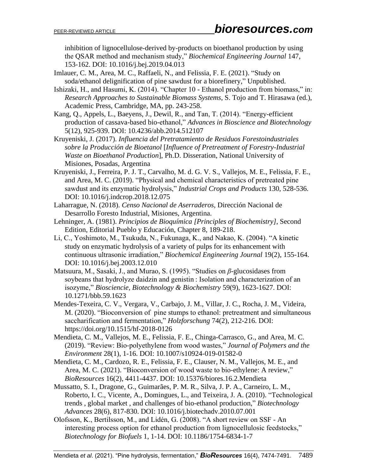inhibition of lignocellulose-derived by-products on bioethanol production by using the QSAR method and mechanism study," *Biochemical Engineering Journal* 147, 153-162. DOI: 10.1016/j.bej.2019.04.013

Imlauer, C. M., Area, M. C., Raffaeli, N., and Felissia, F. E. (2021). "Study on soda/ethanol delignification of pine sawdust for a biorefinery," Unpublished.

Ishizaki, H., and Hasumi, K. (2014). "Chapter 10 - Ethanol production from biomass," in: *Research Approaches to Sustainable Biomass Systems*, S. Tojo and T. Hirasawa (ed.), Academic Press, Cambridge, MA, pp. 243-258.

Kang, Q., Appels, L., Baeyens, J., Dewil, R., and Tan, T. (2014). "Energy-efficient production of cassava-based bio-ethanol," *Advances in Bioscience and Biotechnology* 5(12), 925-939. DOI: 10.4236/abb.2014.512107

Kruyeniski, J. (2017). *Influencia del Pretratamiento de Residuos Forestoindustriales sobre la Producción de Bioetanol* [*Influence of Pretreatment of Forestry-Industrial Waste on Bioethanol Production*], Ph.D. Disseration, National University of Misiones, Posadas, Argentina

Kruyeniski, J., Ferreira, P. J. T., Carvalho, M. d. G. V. S., Vallejos, M. E., Felissia, F. E., and Area, M. C. (2019). "Physical and chemical characteristics of pretreated pine sawdust and its enzymatic hydrolysis," *Industrial Crops and Products* 130, 528-536. DOI: 10.1016/j.indcrop.2018.12.075

Laharrague, N. (2018). *Censo Nacional de Aserraderos*, Dirección Nacional de Desarrollo Foresto Industrial, Misiones, Argentina.

Lehninger, A. (1981). *Principios de Bioquímica [Principles of Biochemistry]*, Second Edition, Editorial Pueblo y Educación, Chapter 8, 189-218.

Li, C., Yoshimoto, M., Tsukuda, N., Fukunaga, K., and Nakao, K. (2004). "A kinetic study on enzymatic hydrolysis of a variety of pulps for its enhancement with continuous ultrasonic irradiation," *Biochemical Engineering Journal* 19(2), 155-164. DOI: 10.1016/j.bej.2003.12.010

Matsuura, M., Sasaki, J., and Murao, S. (1995). "Studies on *β*-glucosidases from soybeans that hydrolyze daidzin and genistin : Isolation and characterization of an isozyme," *Biosciencie, Biotechnology & Biochemistry* 59(9), 1623-1627. DOI: 10.1271/bbb.59.1623

Mendes-Texeira, C. V., Vergara, V., Carbajo, J. M., Villar, J. C., Rocha, J. M., Videira, M. (2020). "Bioconversion of pine stumps to ethanol: pretreatment and simultaneous saccharification and fermentation," *Holzforschung* 74(2), 212-216. DOI: <https://doi.org/10.1515/hf-2018-0126>

Mendieta, C. M., Vallejos, M. E., Felissia, F. E., Chinga-Carrasco, G., and Area, M. C. (2019). "Review: Bio-polyethylene from wood wastes," *Journal of Polymers and the Environment* 28(1), 1-16. DOI: 10.1007/s10924-019-01582-0

Mendieta, C. M., Cardozo, R. E., Felissia, F. E., Clauser, N. M., Vallejos, M. E., and Area, M. C. (2021). "Bioconversion of wood waste to bio-ethylene: A review," *BioResources* 16(2), 4411-4437. DOI: [10.15376/biores.16.2.Mendieta](http://dx.doi.org/10.15376/biores.16.2.Mendieta)

Mussatto, S. I., Dragone, G., Guimarães, P. M. R., Silva, J. P. A., Carneiro, L. M., Roberto, I. C., Vicente, A., Domingues, L., and Teixeira, J. A. (2010). "Technological trends , global market , and challenges of bio-ethanol production," *Biotechnology Advances* 28(6), 817-830. DOI: 10.1016/j.biotechadv.2010.07.001

Olofsson, K., Bertilsson, M., and Lidén, G. (2008). "A short review on SSF - An interesting process option for ethanol production from lignocellulosic feedstocks," *Biotechnology for Biofuels* 1, 1-14. DOI: 10.1186/1754-6834-1-7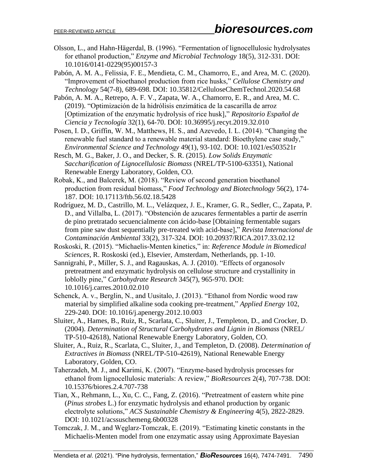Olsson, L., and Hahn-Hägerdal, B. (1996). "Fermentation of lignocellulosic hydrolysates for ethanol production," *Enzyme and Microbial Technology* 18(5), 312-331. DOI: 10.1016/0141-0229(95)00157-3

Pabón, A. M. A., Felissia, F. E., Mendieta, C. M., Chamorro, E., and Area, M. C. (2020). "Improvement of bioethanol production from rice husks," *Cellulose Chemistry and Technology* 54(7-8), 689-698. DOI: 10.35812/CelluloseChemTechnol.2020.54.68

Pabón, A. M. A., Retrepo, A. F. V., Zapata, W. A., Chamorro, E. R., and Area, M. C. (2019). "Optimización de la hidrólisis enzimática de la cascarilla de arroz [Optimization of the enzymatic hydrolysis of rice husk]," *Repositorio Español de Ciencia y Tecnología* 32(1), 64-70. DOI: 10.36995/j.recyt.2019.32.010

Posen, I. D., Griffin, W. M., Matthews, H. S., and Azevedo, I. L. (2014). "Changing the renewable fuel standard to a renewable material standard: Bioethylene case study," *Environmental Science and Technology* 49(1), 93-102. DOI: 10.1021/es503521r

Resch, M. G., Baker, J. O., and Decker, S. R. (2015). *Low Solids Enzymatic Saccharification of Lignocellulosic Biomass* (NREL/TP-5100-63351), National Renewable Energy Laboratory, Golden, CO.

Robak, K., and Balcerek, M. (2018). "Review of second generation bioethanol production from residual biomass," *Food Technology and Biotechnology* 56(2), 174- 187. DOI: 10.17113/ftb.56.02.18.5428

- Rodríguez, M. D., Castrillo, M. L., Velázquez, J. E., Kramer, G. R., Sedler, C., Zapata, P. D., and Villalba, L. (2017). "Obstención de azucares fermentables a partir de aserrín de pino pretratado secuencialmente con ácido-base [Obtaining fermentable sugars from pine saw dust sequentially pre-treated with acid-base]," *Revista Internacional de Contaminación Ambiental* 33(2), 317-324. DOI: 10.20937/RICA.2017.33.02.12
- Roskoski, R. (2015). "Michaelis-Menten kinetics," in: *Reference Module in Biomedical Sciences*, R. Roskoski (ed.), Elsevier, Amsterdam, Netherlands, pp. 1-10.
- Sannigrahi, P., Miller, S. J., and Ragauskas, A. J. (2010). "Effects of organosolv pretreatment and enzymatic hydrolysis on cellulose structure and crystallinity in loblolly pine," *Carbohydrate Research* 345(7), 965-970. DOI: 10.1016/j.carres.2010.02.010

Schenck, A. v., Berglin, N., and Uusitalo, J. (2013). "Ethanol from Nordic wood raw material by simplified alkaline soda cooking pre-treatment," *Applied Energy* 102, 229-240. DOI: 10.1016/j.apenergy.2012.10.003

- Sluiter, A., Hames, B., Ruiz, R., Scarlata, C., Sluiter, J., Templeton, D., and Crocker, D. (2004). *Determination of Structural Carbohydrates and Lignin in Biomass* (NREL/ TP-510-42618), National Renewable Energy Laboratory, Golden, CO.
- Sluiter, A., Ruiz, R., Scarlata, C., Sluiter, J., and Templeton, D. (2008). *Determination of Extractives in Biomass* (NREL/TP-510-42619), National Renewable Energy Laboratory, Golden, CO.
- Taherzadeh, M. J., and Karimi, K. (2007). "Enzyme-based hydrolysis processes for ethanol from lignocellulosic materials: A review," *BioResources* 2(4), 707-738. DOI: 10.15376/biores.2.4.707-738
- Tian, X., Rehmann, L., Xu, C. C., Fang, Z. (2016). "Pretreatment of eastern white pine (*Pinus strobes* L.) for enzymatic hydrolysis and ethanol production by organic electrolyte solutions," *ACS Sustainable Chemistry & Engineering* 4(5), 2822-2829. DOI: 10.1021/acssuschemeng.6b00328
- Tomczak, J. M., and Węglarz-Tomczak, E. (2019). "Estimating kinetic constants in the Michaelis-Menten model from one enzymatic assay using Approximate Bayesian